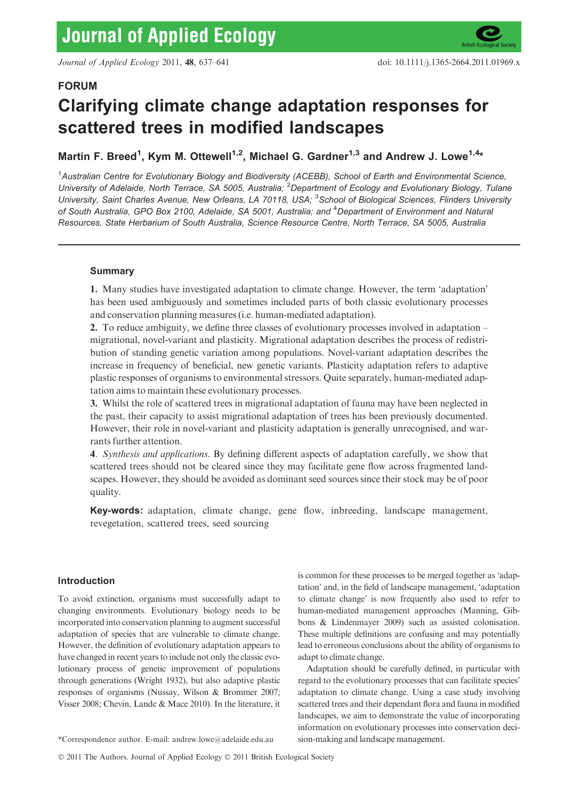## FORUM

# Clarifying climate change adaptation responses for scattered trees in modified landscapes

## Martin F. Breed<sup>1</sup>, Kym M. Ottewell<sup>1,2</sup>, Michael G. Gardner<sup>1,3</sup> and Andrew J. Lowe<sup>1,4</sup>\*

<sup>1</sup>Australian Centre for Evolutionary Biology and Biodiversity (ACEBB), School of Earth and Environmental Science, University of Adelaide, North Terrace, SA 5005, Australia; <sup>2</sup>Department of Ecology and Evolutionary Biology, Tulane University, Saint Charles Avenue, New Orleans, LA 70118, USA; <sup>3</sup>School of Biological Sciences, Flinders University of South Australia, GPO Box 2100, Adelaide, SA 5001, Australia; and <sup>4</sup>Department of Environment and Natural Resources, State Herbarium of South Australia, Science Resource Centre, North Terrace, SA 5005, Australia

## Summary

1. Many studies have investigated adaptation to climate change. However, the term 'adaptation' has been used ambiguously and sometimes included parts of both classic evolutionary processes and conservation planning measures (i.e. human-mediated adaptation).

2. To reduce ambiguity, we define three classes of evolutionary processes involved in adaptation – migrational, novel-variant and plasticity. Migrational adaptation describes the process of redistribution of standing genetic variation among populations. Novel-variant adaptation describes the increase in frequency of beneficial, new genetic variants. Plasticity adaptation refers to adaptive plastic responses of organisms to environmental stressors. Quite separately, human-mediated adaptation aims to maintain these evolutionary processes.

3. Whilst the role of scattered trees in migrational adaptation of fauna may have been neglected in the past, their capacity to assist migrational adaptation of trees has been previously documented. However, their role in novel-variant and plasticity adaptation is generally unrecognised, and warrants further attention.

4. Synthesis and applications. By defining different aspects of adaptation carefully, we show that scattered trees should not be cleared since they may facilitate gene flow across fragmented landscapes. However, they should be avoided as dominant seed sources since their stock may be of poor quality.

Key-words: adaptation, climate change, gene flow, inbreeding, landscape management, revegetation, scattered trees, seed sourcing

## Introduction

To avoid extinction, organisms must successfully adapt to changing environments. Evolutionary biology needs to be incorporated into conservation planning to augment successful adaptation of species that are vulnerable to climate change. However, the definition of evolutionary adaptation appears to have changed in recent years to include not only the classic evolutionary process of genetic improvement of populations through generations (Wright 1932), but also adaptive plastic responses of organisms (Nussay, Wilson & Brommer 2007; Visser 2008; Chevin, Lande & Mace 2010). In the literature, it

\*Correspondence author. E-mail: andrew.lowe@adelaide.edu.au sion-making and landscape management.

© 2011 The Authors. Journal of Applied Ecology © 2011 British Ecological Society

is common for these processes to be merged together as 'adaptation' and, in the field of landscape management, 'adaptation to climate change' is now frequently also used to refer to human-mediated management approaches (Manning, Gibbons & Lindenmayer 2009) such as assisted colonisation. These multiple definitions are confusing and may potentially lead to erroneous conclusions about the ability of organisms to adapt to climate change.

Adaptation should be carefully defined, in particular with regard to the evolutionary processes that can facilitate species' adaptation to climate change. Using a case study involving scattered trees and their dependant flora and fauna in modified landscapes, we aim to demonstrate the value of incorporating information on evolutionary processes into conservation deci-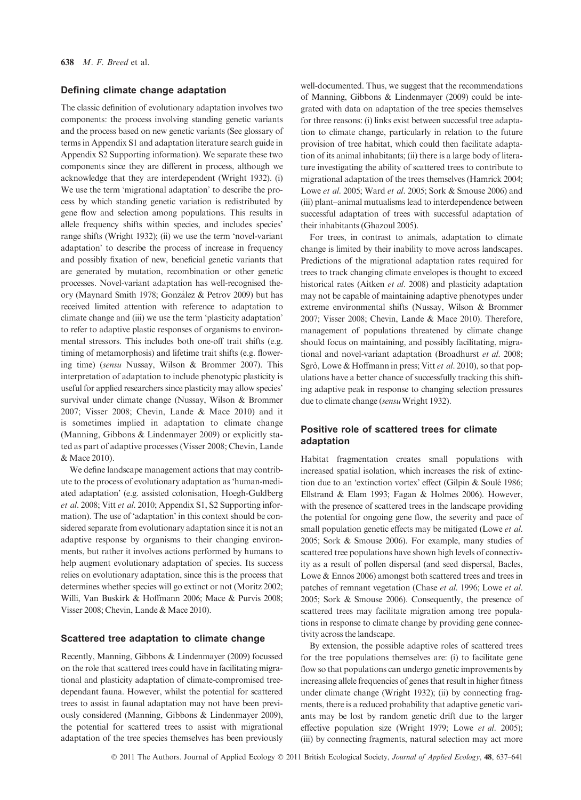#### Defining climate change adaptation

The classic definition of evolutionary adaptation involves two components: the process involving standing genetic variants and the process based on new genetic variants (See glossary of terms in Appendix S1 and adaptation literature search guide in Appendix S2 Supporting information). We separate these two components since they are different in process, although we acknowledge that they are interdependent (Wright 1932). (i) We use the term 'migrational adaptation' to describe the process by which standing genetic variation is redistributed by gene flow and selection among populations. This results in allele frequency shifts within species, and includes species' range shifts (Wright 1932); (ii) we use the term 'novel-variant adaptation' to describe the process of increase in frequency and possibly fixation of new, beneficial genetic variants that are generated by mutation, recombination or other genetic processes. Novel-variant adaptation has well-recognised theory (Maynard Smith 1978; Gonza´lez & Petrov 2009) but has received limited attention with reference to adaptation to climate change and (iii) we use the term 'plasticity adaptation' to refer to adaptive plastic responses of organisms to environmental stressors. This includes both one-off trait shifts (e.g. timing of metamorphosis) and lifetime trait shifts (e.g. flowering time) (sensu Nussay, Wilson & Brommer 2007). This interpretation of adaptation to include phenotypic plasticity is useful for applied researchers since plasticity may allow species' survival under climate change (Nussay, Wilson & Brommer 2007; Visser 2008; Chevin, Lande & Mace 2010) and it is sometimes implied in adaptation to climate change (Manning, Gibbons & Lindenmayer 2009) or explicitly stated as part of adaptive processes (Visser 2008; Chevin, Lande & Mace 2010).

We define landscape management actions that may contribute to the process of evolutionary adaptation as 'human-mediated adaptation' (e.g. assisted colonisation, Hoegh-Guldberg et al. 2008; Vitt et al. 2010; Appendix S1, S2 Supporting information). The use of 'adaptation' in this context should be considered separate from evolutionary adaptation since it is not an adaptive response by organisms to their changing environments, but rather it involves actions performed by humans to help augment evolutionary adaptation of species. Its success relies on evolutionary adaptation, since this is the process that determines whether species will go extinct or not (Moritz 2002; Willi, Van Buskirk & Hoffmann 2006; Mace & Purvis 2008; Visser 2008; Chevin, Lande & Mace 2010).

#### Scattered tree adaptation to climate change

Recently, Manning, Gibbons & Lindenmayer (2009) focussed on the role that scattered trees could have in facilitating migrational and plasticity adaptation of climate-compromised treedependant fauna. However, whilst the potential for scattered trees to assist in faunal adaptation may not have been previously considered (Manning, Gibbons & Lindenmayer 2009), the potential for scattered trees to assist with migrational adaptation of the tree species themselves has been previously well-documented. Thus, we suggest that the recommendations of Manning, Gibbons & Lindenmayer (2009) could be integrated with data on adaptation of the tree species themselves for three reasons: (i) links exist between successful tree adaptation to climate change, particularly in relation to the future provision of tree habitat, which could then facilitate adaptation of its animal inhabitants; (ii) there is a large body of literature investigating the ability of scattered trees to contribute to migrational adaptation of the trees themselves (Hamrick 2004; Lowe et al. 2005; Ward et al. 2005; Sork & Smouse 2006) and (iii) plant–animal mutualisms lead to interdependence between successful adaptation of trees with successful adaptation of their inhabitants (Ghazoul 2005).

For trees, in contrast to animals, adaptation to climate change is limited by their inability to move across landscapes. Predictions of the migrational adaptation rates required for trees to track changing climate envelopes is thought to exceed historical rates (Aitken et al. 2008) and plasticity adaptation may not be capable of maintaining adaptive phenotypes under extreme environmental shifts (Nussay, Wilson & Brommer 2007; Visser 2008; Chevin, Lande & Mace 2010). Therefore, management of populations threatened by climate change should focus on maintaining, and possibly facilitating, migrational and novel-variant adaptation (Broadhurst et al. 2008; Sgrò, Lowe & Hoffmann in press; Vitt et al. 2010), so that populations have a better chance of successfully tracking this shifting adaptive peak in response to changing selection pressures due to climate change (sensu Wright 1932).

#### Positive role of scattered trees for climate adaptation

Habitat fragmentation creates small populations with increased spatial isolation, which increases the risk of extinction due to an 'extinction vortex' effect (Gilpin & Soule 1986; Ellstrand & Elam 1993; Fagan & Holmes 2006). However, with the presence of scattered trees in the landscape providing the potential for ongoing gene flow, the severity and pace of small population genetic effects may be mitigated (Lowe et al. 2005; Sork & Smouse 2006). For example, many studies of scattered tree populations have shown high levels of connectivity as a result of pollen dispersal (and seed dispersal, Bacles, Lowe & Ennos 2006) amongst both scattered trees and trees in patches of remnant vegetation (Chase et al. 1996; Lowe et al. 2005; Sork & Smouse 2006). Consequently, the presence of scattered trees may facilitate migration among tree populations in response to climate change by providing gene connectivity across the landscape.

By extension, the possible adaptive roles of scattered trees for the tree populations themselves are: (i) to facilitate gene flow so that populations can undergo genetic improvements by increasing allele frequencies of genes that result in higher fitness under climate change (Wright 1932); (ii) by connecting fragments, there is a reduced probability that adaptive genetic variants may be lost by random genetic drift due to the larger effective population size (Wright 1979; Lowe et al. 2005); (iii) by connecting fragments, natural selection may act more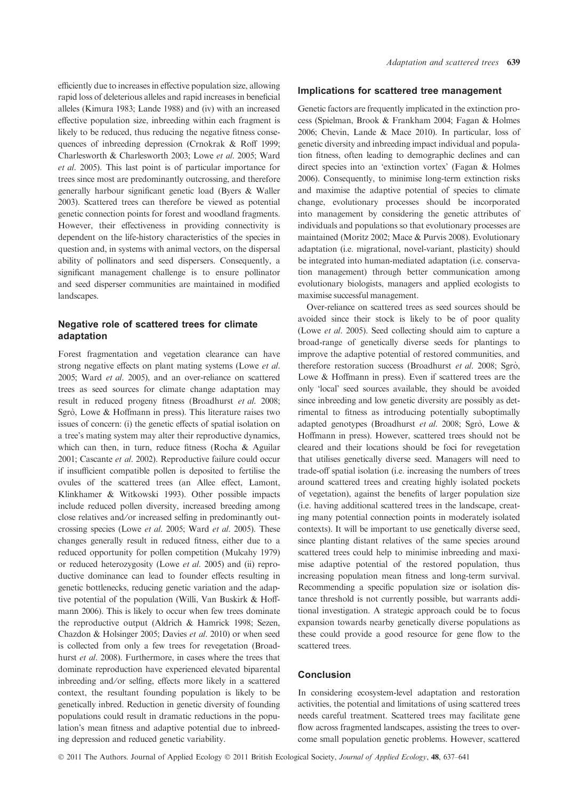efficiently due to increases in effective population size, allowing rapid loss of deleterious alleles and rapid increases in beneficial alleles (Kimura 1983; Lande 1988) and (iv) with an increased effective population size, inbreeding within each fragment is likely to be reduced, thus reducing the negative fitness consequences of inbreeding depression (Crnokrak & Roff 1999; Charlesworth & Charlesworth 2003; Lowe et al. 2005; Ward et al. 2005). This last point is of particular importance for trees since most are predominantly outcrossing, and therefore generally harbour significant genetic load (Byers & Waller 2003). Scattered trees can therefore be viewed as potential genetic connection points for forest and woodland fragments. However, their effectiveness in providing connectivity is dependent on the life-history characteristics of the species in question and, in systems with animal vectors, on the dispersal ability of pollinators and seed dispersers. Consequently, a significant management challenge is to ensure pollinator and seed disperser communities are maintained in modified landscapes.

## Negative role of scattered trees for climate adaptation

Forest fragmentation and vegetation clearance can have strong negative effects on plant mating systems (Lowe et al. 2005; Ward et al. 2005), and an over-reliance on scattered trees as seed sources for climate change adaptation may result in reduced progeny fitness (Broadhurst et al. 2008; Sgrò, Lowe & Hoffmann in press). This literature raises two issues of concern: (i) the genetic effects of spatial isolation on a tree's mating system may alter their reproductive dynamics, which can then, in turn, reduce fitness (Rocha & Aguilar 2001; Cascante et al. 2002). Reproductive failure could occur if insufficient compatible pollen is deposited to fertilise the ovules of the scattered trees (an Allee effect, Lamont, Klinkhamer & Witkowski 1993). Other possible impacts include reduced pollen diversity, increased breeding among close relatives and⁄ or increased selfing in predominantly outcrossing species (Lowe et al. 2005; Ward et al. 2005). These changes generally result in reduced fitness, either due to a reduced opportunity for pollen competition (Mulcahy 1979) or reduced heterozygosity (Lowe et al. 2005) and (ii) reproductive dominance can lead to founder effects resulting in genetic bottlenecks, reducing genetic variation and the adaptive potential of the population (Willi, Van Buskirk & Hoffmann 2006). This is likely to occur when few trees dominate the reproductive output (Aldrich & Hamrick 1998; Sezen, Chazdon & Holsinger 2005; Davies et al. 2010) or when seed is collected from only a few trees for revegetation (Broadhurst et al. 2008). Furthermore, in cases where the trees that dominate reproduction have experienced elevated biparental inbreeding and ⁄or selfing, effects more likely in a scattered context, the resultant founding population is likely to be genetically inbred. Reduction in genetic diversity of founding populations could result in dramatic reductions in the population's mean fitness and adaptive potential due to inbreeding depression and reduced genetic variability.

#### Implications for scattered tree management

Genetic factors are frequently implicated in the extinction process (Spielman, Brook & Frankham 2004; Fagan & Holmes 2006; Chevin, Lande & Mace 2010). In particular, loss of genetic diversity and inbreeding impact individual and population fitness, often leading to demographic declines and can direct species into an 'extinction vortex' (Fagan & Holmes 2006). Consequently, to minimise long-term extinction risks and maximise the adaptive potential of species to climate change, evolutionary processes should be incorporated into management by considering the genetic attributes of individuals and populations so that evolutionary processes are maintained (Moritz 2002; Mace & Purvis 2008). Evolutionary adaptation (i.e. migrational, novel-variant, plasticity) should be integrated into human-mediated adaptation (i.e. conservation management) through better communication among evolutionary biologists, managers and applied ecologists to maximise successful management.

Over-reliance on scattered trees as seed sources should be avoided since their stock is likely to be of poor quality (Lowe et al. 2005). Seed collecting should aim to capture a broad-range of genetically diverse seeds for plantings to improve the adaptive potential of restored communities, and therefore restoration success (Broadhurst et al. 2008; Sgrò, Lowe & Hoffmann in press). Even if scattered trees are the only 'local' seed sources available, they should be avoided since inbreeding and low genetic diversity are possibly as detrimental to fitness as introducing potentially suboptimally adapted genotypes (Broadhurst et al. 2008; Sgrò, Lowe  $\&$ Hoffmann in press). However, scattered trees should not be cleared and their locations should be foci for revegetation that utilises genetically diverse seed. Managers will need to trade-off spatial isolation (i.e. increasing the numbers of trees around scattered trees and creating highly isolated pockets of vegetation), against the benefits of larger population size (i.e. having additional scattered trees in the landscape, creating many potential connection points in moderately isolated contexts). It will be important to use genetically diverse seed, since planting distant relatives of the same species around scattered trees could help to minimise inbreeding and maximise adaptive potential of the restored population, thus increasing population mean fitness and long-term survival. Recommending a specific population size or isolation distance threshold is not currently possible, but warrants additional investigation. A strategic approach could be to focus expansion towards nearby genetically diverse populations as these could provide a good resource for gene flow to the scattered trees.

#### Conclusion

In considering ecosystem-level adaptation and restoration activities, the potential and limitations of using scattered trees needs careful treatment. Scattered trees may facilitate gene flow across fragmented landscapes, assisting the trees to overcome small population genetic problems. However, scattered

© 2011 The Authors. Journal of Applied Ecology © 2011 British Ecological Society, Journal of Applied Ecology, 48, 637–641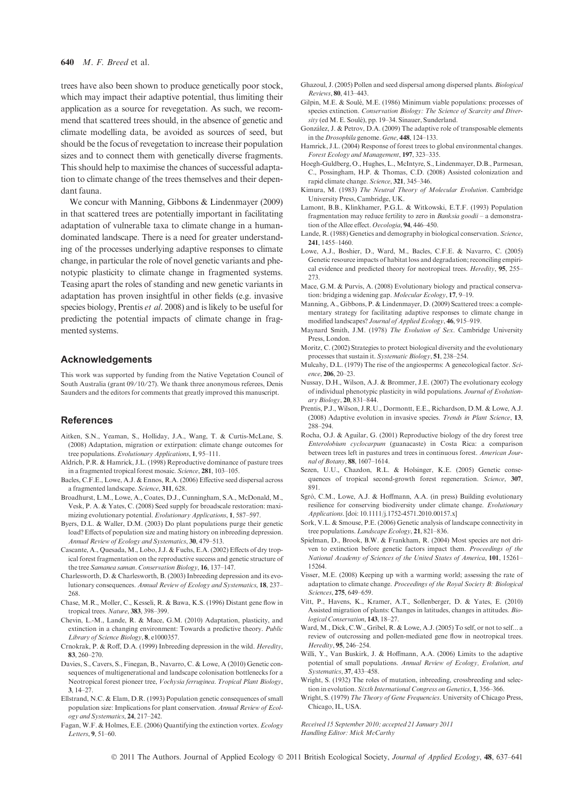## 640 M. F. Breed et al.

trees have also been shown to produce genetically poor stock, which may impact their adaptive potential, thus limiting their application as a source for revegetation. As such, we recommend that scattered trees should, in the absence of genetic and climate modelling data, be avoided as sources of seed, but should be the focus of revegetation to increase their population sizes and to connect them with genetically diverse fragments. This should help to maximise the chances of successful adaptation to climate change of the trees themselves and their dependant fauna.

We concur with Manning, Gibbons & Lindenmayer (2009) in that scattered trees are potentially important in facilitating adaptation of vulnerable taxa to climate change in a humandominated landscape. There is a need for greater understanding of the processes underlying adaptive responses to climate change, in particular the role of novel genetic variants and phenotypic plasticity to climate change in fragmented systems. Teasing apart the roles of standing and new genetic variants in adaptation has proven insightful in other fields (e.g. invasive species biology, Prentis et al. 2008) and is likely to be useful for predicting the potential impacts of climate change in fragmented systems.

#### Acknowledgements

This work was supported by funding from the Native Vegetation Council of South Australia (grant 09/10/27). We thank three anonymous referees, Denis Saunders and the editors for comments that greatly improved this manuscript.

#### References

- Aitken, S.N., Yeaman, S., Holliday, J.A., Wang, T. & Curtis-McLane, S. (2008) Adaptation, migration or extirpation: climate change outcomes for tree populations. Evolutionary Applications, 1, 95–111.
- Aldrich, P.R. & Hamrick, J.L. (1998) Reproductive dominance of pasture trees in a fragmented tropical forest mosaic. Science, 281, 103-105.
- Bacles, C.F.E., Lowe, A.J. & Ennos, R.A. (2006) Effective seed dispersal across a fragmented landscape. Science, 311, 628.
- Broadhurst, L.M., Lowe, A., Coates, D.J., Cunningham, S.A., McDonald, M., Vesk, P. A. & Yates, C. (2008) Seed supply for broadscale restoration: maximizing evolutionary potential. Evolutionary Applications, 1, 587–597.
- Byers, D.L. & Waller, D.M. (2003) Do plant populations purge their genetic load? Effects of population size and mating history on inbreeding depression. Annual Review of Ecology and Systematics, 30, 479–513.
- Cascante, A., Quesada, M., Lobo, J.J. & Fuchs, E.A. (2002) Effects of dry tropical forest fragmentation on the reproductive success and genetic structure of the tree Samanea saman. Conservation Biology, 16, 137–147.
- Charlesworth, D. & Charlesworth, B. (2003) Inbreeding depression and its evolutionary consequences. Annual Review of Ecology and Systematics, 18, 237– 268.
- Chase, M.R., Moller, C., Kesseli, R. & Bawa, K.S. (1996) Distant gene flow in tropical trees. Nature, 383, 398–399.
- Chevin, L.-M., Lande, R. & Mace, G.M. (2010) Adaptation, plasticity, and extinction in a changing environment: Towards a predictive theory. Public Library of Science Biology, 8, e1000357.
- Crnokrak, P. & Roff, D.A. (1999) Inbreeding depression in the wild. Heredity, 83, 260–270.
- Davies, S., Cavers, S., Finegan, B., Navarro, C. & Lowe, A (2010) Genetic consequences of multigenerational and landscape colonisation bottlenecks for a Neotropical forest pioneer tree, Vochysia ferruginea. Tropical Plant Biology, 3, 14–27.
- Ellstrand, N.C. & Elam, D.R. (1993) Population genetic consequences of small population size: Implications for plant conservation. Annual Review of Ecology and Systematics, 24, 217–242.
- Fagan, W.F. & Holmes, E.E. (2006) Quantifying the extinction vortex. Ecology Letters, 9, 51–60.
- Ghazoul, J. (2005) Pollen and seed dispersal among dispersed plants. Biological Reviews, 80, 413–443.
- Gilpin, M.E. & Soulé, M.E. (1986) Minimum viable populations: processes of species extinction. Conservation Biology: The Science of Scarcity and Diversity (ed M. E. Soulé), pp. 19-34. Sinauer, Sunderland.
- González, J. & Petrov, D.A. (2009) The adaptive role of transposable elements in the Drosophila genome. Gene, 448, 124–133.
- Hamrick, J.L. (2004) Response of forest trees to global environmental changes. Forest Ecology and Management, 197, 323–335.
- Hoegh-Guldberg, O., Hughes, L., McIntyre, S., Lindenmayer, D.B., Parmesan, C., Possingham, H.P. & Thomas, C.D. (2008) Assisted colonization and rapid climate change. Science, 321, 345–346.
- Kimura, M. (1983) The Neutral Theory of Molecular Evolution. Cambridge University Press, Cambridge, UK.
- Lamont, B.B., Klinkhamer, P.G.L. & Witkowski, E.T.F. (1993) Population fragmentation may reduce fertility to zero in Banksia goodii – a demonstration of the Allee effect. Oecologia, 94, 446–450.
- Lande, R. (1988) Genetics and demography in biological conservation. Science, 241, 1455–1460.
- Lowe, A.J., Boshier, D., Ward, M., Bacles, C.F.E. & Navarro, C. (2005) Genetic resource impacts of habitat loss and degradation; reconciling empirical evidence and predicted theory for neotropical trees. Heredity, 95, 255– 273.
- Mace, G.M. & Purvis, A. (2008) Evolutionary biology and practical conservation: bridging a widening gap. Molecular Ecology, 17, 9–19.
- Manning, A., Gibbons, P. & Lindenmayer, D. (2009) Scattered trees: a complementary strategy for facilitating adaptive responses to climate change in modified landscapes? Journal of Applied Ecology, 46, 915–919.
- Maynard Smith, J.M. (1978) The Evolution of Sex. Cambridge University Press, London.
- Moritz, C. (2002) Strategies to protect biological diversity and the evolutionary processes that sustain it. Systematic Biology, 51, 238–254.
- Mulcahy, D.L. (1979) The rise of the angiosperms: A genecological factor. Science, 206, 20–23.
- Nussay, D.H., Wilson, A.J. & Brommer, J.E. (2007) The evolutionary ecology of individual phenotypic plasticity in wild populations. Journal of Evolutionary Biology, 20, 831–844.
- Prentis, P.J., Wilson, J.R.U., Dormontt, E.E., Richardson, D.M. & Lowe, A.J. (2008) Adaptive evolution in invasive species. Trends in Plant Science, 13, 288–294.
- Rocha, O.J. & Aguilar, G. (2001) Reproductive biology of the dry forest tree Enterolobium cyclocarpum (guanacaste) in Costa Rica: a comparison between trees left in pastures and trees in continuous forest. American Journal of Botany, 88, 1607–1614.
- Sezen, U.U., Chazdon, R.L. & Holsinger, K.E. (2005) Genetic consequences of tropical second-growth forest regeneration. Science, 307, 891.
- Sgrò, C.M., Lowe, A.J. & Hoffmann, A.A. (in press) Building evolutionary resilience for conserving biodiversity under climate change. Evolutionary Applications. [doi: 10.1111/j.1752-4571.2010.00157.x]
- Sork, V.L. & Smouse, P.E. (2006) Genetic analysis of landscape connectivity in tree populations. Landscape Ecology, 21, 821–836.
- Spielman, D., Brook, B.W. & Frankham, R. (2004) Most species are not driven to extinction before genetic factors impact them. Proceedings of the National Academy of Sciences of the United States of America, 101, 15261– 15264.
- Visser, M.E. (2008) Keeping up with a warming world; assessing the rate of adaptation to climate change. Proceedings of the Royal Society B: Biological Sciences, 275, 649–659.
- Vitt, P., Havens, K., Kramer, A.T., Sollenberger, D. & Yates, E. (2010) Assisted migration of plants: Changes in latitudes, changes in attitudes. Biological Conservation, 143, 18–27.
- Ward, M., Dick, C.W., Gribel, R. & Lowe, A.J. (2005) To self, or not to self... a review of outcrossing and pollen-mediated gene flow in neotropical trees. Heredity, 95, 246–254.
- Willi, Y., Van Buskirk, J. & Hoffmann, A.A. (2006) Limits to the adaptive potential of small populations. Annual Review of Ecology, Evolution, and Systematics, 37, 433–458.
- Wright, S. (1932) The roles of mutation, inbreeding, crossbreeding and selection in evolution. Sixth International Congress on Genetics, 1, 356–366.
- Wright, S. (1979) The Theory of Gene Frequencies. University of Chicago Press, Chicago, IL, USA.

Received 15 September 2010; accepted 21 January 2011 Handling Editor: Mick McCarthy